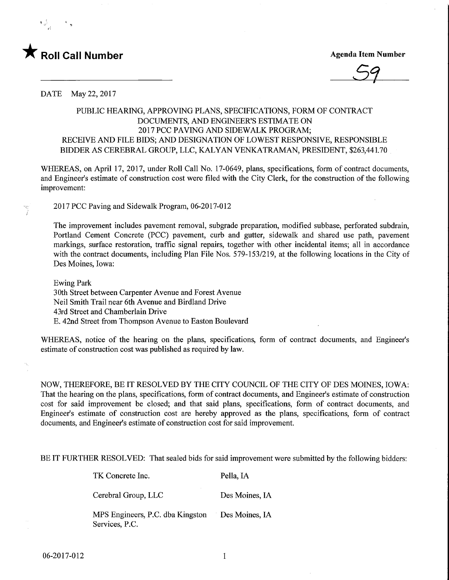E.

## **Roll Call Number Agents Contained Agents After Agents Agents Agents Agents Agents Agents Agents Agents Agents**

59

DATE May 22, 2017

## PUBLIC HEARING, APPROVING PLANS, SPECIFICATIONS, FORM OF CONTRACT DOCUMENTS, AND ENGINEER'S ESTIMATE ON 2017 PCC PAVING AND SIDEWALK PROGRAM; RECEIVE AND FILE BIDS; AND DESIGNATION OF LOWEST RESPONSIVE, RESPONSIBLE BIDDER AS CEREBRAL GROUP, LLC, KALYAN VENKATRAMAN, PRESIDENT, \$263,441.70

WHEREAS, on April 17, 2017, under Roll Call No. 17-0649, plans, specifications, form of contract documents, and Engineer's estimate of construction cost were filed with the City Clerk, for the construction of the following improvement:

2017 PCC Paving and Sidewalk Program, 06-2017-012

The improvement includes pavement removal, subgrade preparation, modified subbase, perforated subdrain, Portland Cement Concrete (PCC) pavement, curb and gutter, sidewalk and shared use path, pavement markings, surface restoration, traffic signal repairs, together with other incidental items; all in accordance with the contract documents, including Plan File Nos. 579-153/219, at the following locations in the City of Des Moines, Iowa:

Ewing Park 30th Street between Carpenter Avenue and Forest Avenue Neil Smith Trail near 6th Avenue and Birdland Drive 43rd Street and Chamberlain Drive E. 42nd Street from Thompson Avenue to Easton Boulevard

WHEREAS, notice of the hearing on the plans, specifications, form of contact documents, and Engineer's estimate of construction cost was published as required by law.

NOW, THEREFORE, BE IT RESOLVED BY THE CITY COUNCIL OF THE CITY OF DES MOINES, IOWA: That the hearing on the plans, specifications, form of contract documents, and Engineer's estimate of construction cost for said improvement be closed; and that said plans, specifications, form of contract documents, and Engineer's estimate of construction cost are hereby approved as the plans, specifications, form of contract documents, and Engineer's estimate of construction cost for said improvement.

BE IT FURTHER RESOLVED: That sealed bids for said improvement were submitted by the following bidders:

TK Concrete Inc. Pella, IA

Cerebral Group, LLC Des Moines, IA

MPS Engineers, P.C. dba Kingston Des Moines, IA Services, P.C.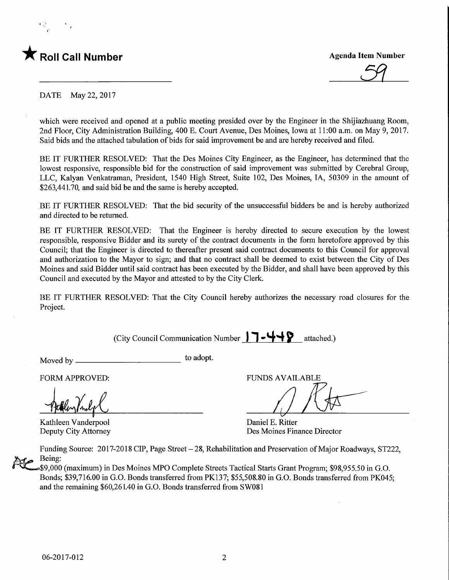## **Roll Call Number**

**Agenda Item Number** 

DATE May 22, 2017

which were received and opened at a public meeting presided over by the Engineer in the Shijiazhuang Room, 2nd Floor, City Administration Building, 400 E. Court Avenue, Des Moines, Iowa at 11:00 a.m. on May 9, 2017. Said bids and the attached tabulation of bids for said improvement be and are hereby received and filed.

BE IT FURTHER RESOLVED: That the Des Moines City Engineer, as the Engineer, has determined that the lowest responsive, responsible bid for the construction of said improvement was submitted by Cerebral Group, LLC, Kalyan Venkatraman, President, 1540 High Street, Suite 102, Des Moines, IA, 50309 in the amount of \$263,441.70, and said bid be and the same is hereby accepted.

BE IT FURTHER RESOLVED: That the bid security of the unsuccessful bidders be and is hereby authorized and directed to be returned.

BE IT FURTHER RESOLVED: That the Engineer is hereby directed to secure execution by the lowest responsible, responsive Bidder and its surety of the contract documents in the form heretofore approved by this Council; that the Engineer is directed to thereafter present said contract documents to this Council for approval and authorization to the Mayor to sign; and that no contract shall be deemed to exist between the City of Des Moines and said Bidder until said contract has been executed by the Bidder, and shall have been approved by this Council and executed by the Mayor and attested to by the City Clerk.

BE IT FURTHER RESOLVED: That the City Council hereby authorizes the necessary road closures for the Project.

(City Council Communication Number  $\Box \Box \Box \Box \Box$ ) attached.)

Moved by\_ to adopt.

Kathleen Vanderpool Daniel E. Ritter<br>
Deputy City Attorney Des Moines Fin

FORM APPROVED: THE RESERVED OF THE RESERVED FUNDS AVAILABLE

Des Moines Finance Director

Funding Source: 2017-2018 CIP, Page Street - 28, Rehabilitation and Preservation of Major Roadways, ST222, Being:

\$9,000 (maximum) in Des Moines MPO Complete Streets Tactical Starts Grant Program; \$98,955.50 in G.O. Bonds; \$39,716.00 in G.O. Bonds transferred from PK137; \$55,508.80 in G.O. Bonds transferred from PK045; and the remaining \$60,261.40 in G.O. Bonds transferred from SW081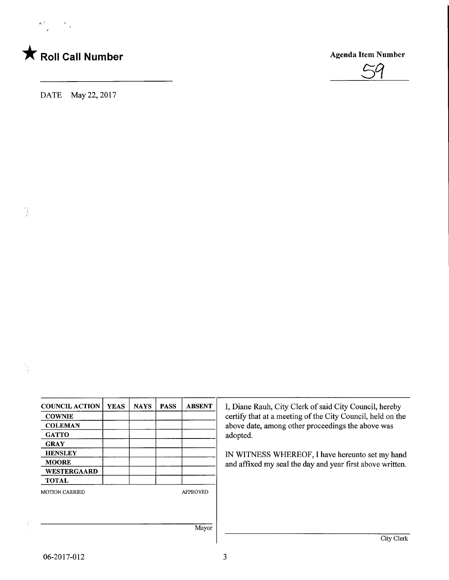

 $\alpha$  ,  $^3$ 

ng<br>P

DATE May 22, 2017



| <b>COUNCIL ACTION</b> | <b>YEAS</b> | <b>NAYS</b> | <b>PASS</b> | <b>ABSENT</b>   |
|-----------------------|-------------|-------------|-------------|-----------------|
| <b>COWNIE</b>         |             |             |             |                 |
| <b>COLEMAN</b>        |             |             |             |                 |
| <b>GATTO</b>          |             |             |             |                 |
| <b>GRAY</b>           |             |             |             |                 |
| <b>HENSLEY</b>        |             |             |             |                 |
| <b>MOORE</b>          |             |             |             |                 |
| <b>WESTERGAARD</b>    |             |             |             |                 |
| <b>TOTAL</b>          |             |             |             |                 |
| <b>MOTION CARRIED</b> |             |             |             | <b>APPROVED</b> |
|                       |             |             |             |                 |
|                       |             |             |             |                 |
|                       |             |             |             | Mayor           |

I, Diane Rauh, City Clerk of said City Council, hereby certify that at a meeting of the City Council, held on the above date, among other proceedings the above was adopted.

IN WITNESS WHEREOF, I have hereunto set my hand and affixed my seal the day and year first above written.

 $\overline{\phantom{a}}$